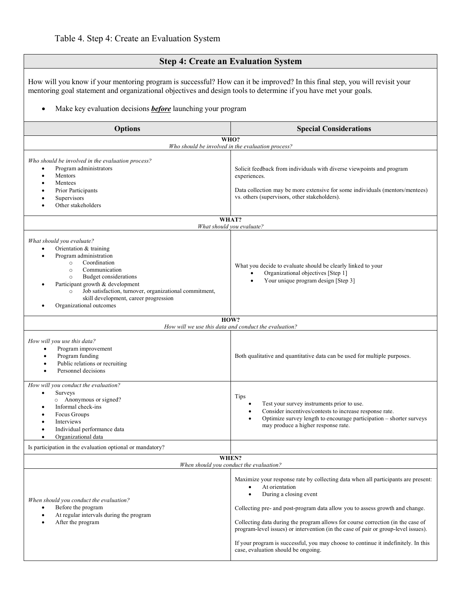# **Step 4: Create an Evaluation System**

How will you know if your mentoring program is successful? How can it be improved? In this final step, you will revisit your mentoring goal statement and organizational objectives and design tools to determine if you have met your goals.

### • Make key evaluation decisions *before* launching your program

| <b>Options</b>                                                                                                                                                                                                                                                                                                                                                                  | <b>Special Considerations</b>                                                                                                                                                                                                                                                                                                                                                                                                                                                                                                    |
|---------------------------------------------------------------------------------------------------------------------------------------------------------------------------------------------------------------------------------------------------------------------------------------------------------------------------------------------------------------------------------|----------------------------------------------------------------------------------------------------------------------------------------------------------------------------------------------------------------------------------------------------------------------------------------------------------------------------------------------------------------------------------------------------------------------------------------------------------------------------------------------------------------------------------|
| WHO?<br>Who should be involved in the evaluation process?                                                                                                                                                                                                                                                                                                                       |                                                                                                                                                                                                                                                                                                                                                                                                                                                                                                                                  |
| Who should be involved in the evaluation process?<br>Program administrators<br>$\bullet$<br>Mentors<br>$\bullet$<br>Mentees<br>$\bullet$<br>Prior Participants<br>Supervisors<br>Other stakeholders                                                                                                                                                                             | Solicit feedback from individuals with diverse viewpoints and program<br>experiences.<br>Data collection may be more extensive for some individuals (mentors/mentees)<br>vs. others (supervisors, other stakeholders).                                                                                                                                                                                                                                                                                                           |
| WHAT?<br>What should you evaluate?                                                                                                                                                                                                                                                                                                                                              |                                                                                                                                                                                                                                                                                                                                                                                                                                                                                                                                  |
| What should you evaluate?<br>Orientation & training<br>$\bullet$<br>Program administration<br>$\bullet$<br>Coordination<br>$\circ$<br>Communication<br>$\circ$<br>Budget considerations<br>$\circ$<br>Participant growth & development<br>Job satisfaction, turnover, organizational commitment,<br>$\circ$<br>skill development, career progression<br>Organizational outcomes | What you decide to evaluate should be clearly linked to your<br>Organizational objectives [Step 1]<br>Your unique program design [Step 3]<br>$\bullet$                                                                                                                                                                                                                                                                                                                                                                           |
| HOW?<br>How will we use this data and conduct the evaluation?                                                                                                                                                                                                                                                                                                                   |                                                                                                                                                                                                                                                                                                                                                                                                                                                                                                                                  |
| How will you use this data?<br>Program improvement<br>$\bullet$<br>Program funding<br>$\bullet$<br>Public relations or recruiting<br>Personnel decisions                                                                                                                                                                                                                        | Both qualitative and quantitative data can be used for multiple purposes.                                                                                                                                                                                                                                                                                                                                                                                                                                                        |
| How will you conduct the evaluation?<br><b>Surveys</b><br>$\bullet$<br>$\circ$ Anonymous or signed?<br>Informal check-ins<br>٠<br>Focus Groups<br>Interviews<br>$\bullet$<br>Individual performance data<br>$\bullet$<br>Organizational data                                                                                                                                    | <b>Tips</b><br>Test your survey instruments prior to use.<br>$\bullet$<br>Consider incentives/contests to increase response rate.<br>Optimize survey length to encourage participation - shorter surveys<br>may produce a higher response rate.                                                                                                                                                                                                                                                                                  |
| Is participation in the evaluation optional or mandatory?                                                                                                                                                                                                                                                                                                                       |                                                                                                                                                                                                                                                                                                                                                                                                                                                                                                                                  |
| WHEN?<br>When should you conduct the evaluation?                                                                                                                                                                                                                                                                                                                                |                                                                                                                                                                                                                                                                                                                                                                                                                                                                                                                                  |
| When should you conduct the evaluation?<br>Before the program<br>$\bullet$<br>At regular intervals during the program<br>$\bullet$<br>After the program<br>$\bullet$                                                                                                                                                                                                            | Maximize your response rate by collecting data when all participants are present:<br>At orientation<br>During a closing event<br>$\bullet$<br>Collecting pre- and post-program data allow you to assess growth and change.<br>Collecting data during the program allows for course correction (in the case of<br>program-level issues) or intervention (in the case of pair or group-level issues).<br>If your program is successful, you may choose to continue it indefinitely. In this<br>case, evaluation should be ongoing. |